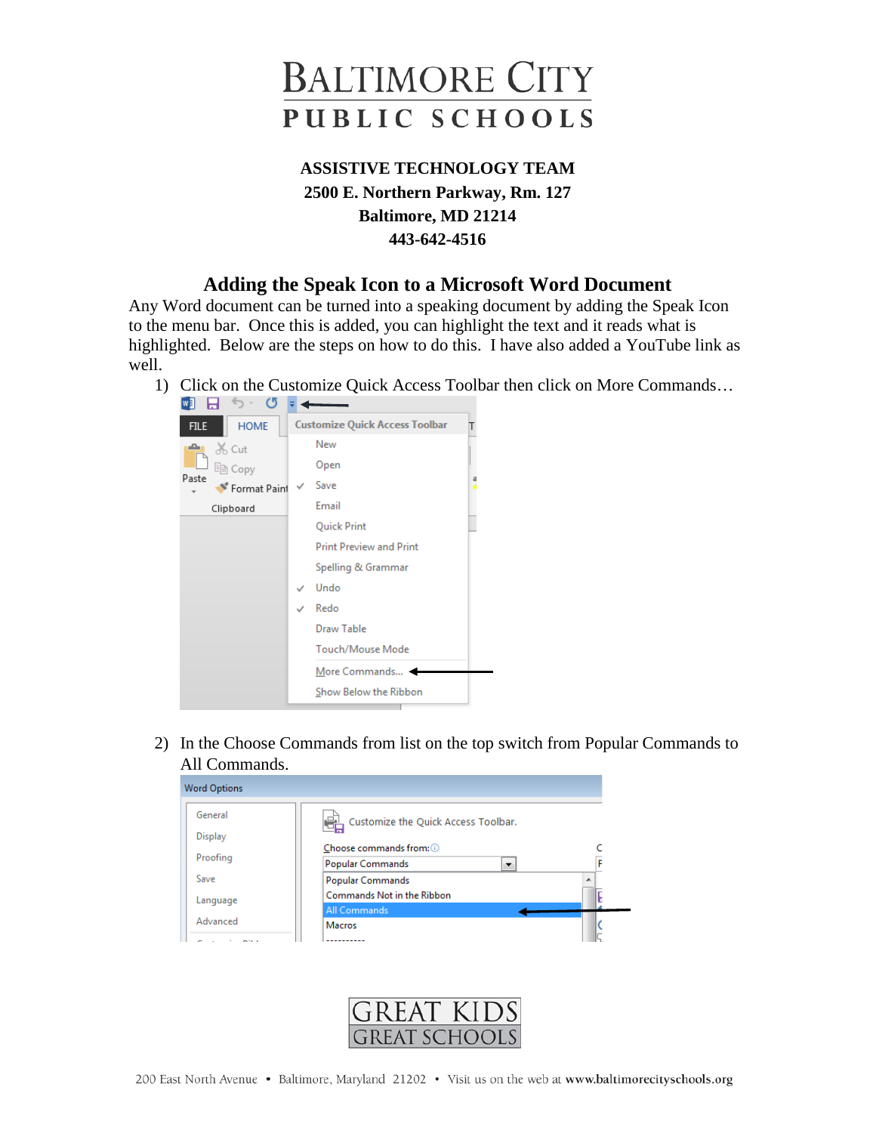

## **ASSISTIVE TECHNOLOGY TEAM 2500 E. Northern Parkway, Rm. 127 Baltimore, MD 21214 443-642-4516**

## **Adding the Speak Icon to a Microsoft Word Document**

Any Word document can be turned into a speaking document by adding the Speak Icon to the menu bar. Once this is added, you can highlight the text and it reads what is highlighted. Below are the steps on how to do this. I have also added a YouTube link as well.

1) Click on the Customize Quick Access Toolbar then click on More Commands…

| W∃ H⊣<br>77<br>- 0         |                                       |  |
|----------------------------|---------------------------------------|--|
| <b>HOME</b><br><b>FILE</b> | <b>Customize Quick Access Toolbar</b> |  |
| of Cut<br>ڪ                | New                                   |  |
| lin Copy                   | Open                                  |  |
| Paste<br>Format Paint      | Save                                  |  |
| Clipboard                  | Email                                 |  |
|                            | Quick Print                           |  |
|                            | <b>Print Preview and Print</b>        |  |
|                            | Spelling & Grammar                    |  |
|                            | Undo                                  |  |
|                            | Redo                                  |  |
|                            | Draw Table                            |  |
|                            | <b>Touch/Mouse Mode</b>               |  |
|                            | More Commands                         |  |
|                            | Show Below the Ribbon                 |  |
|                            |                                       |  |

2) In the Choose Commands from list on the top switch from Popular Commands to All Commands.

| <b>Word Options</b> |                                     |   |
|---------------------|-------------------------------------|---|
| General             | Customize the Quick Access Toolbar. |   |
| Display             |                                     |   |
|                     | Choose commands from: 0             |   |
| Proofing            | <b>Popular Commands</b><br>▼        | F |
| Save                | <b>Popular Commands</b>             | ▴ |
| Language            | Commands Not in the Ribbon          |   |
|                     | All Commands                        |   |
| Advanced            | <b>Macros</b>                       |   |
|                     |                                     |   |